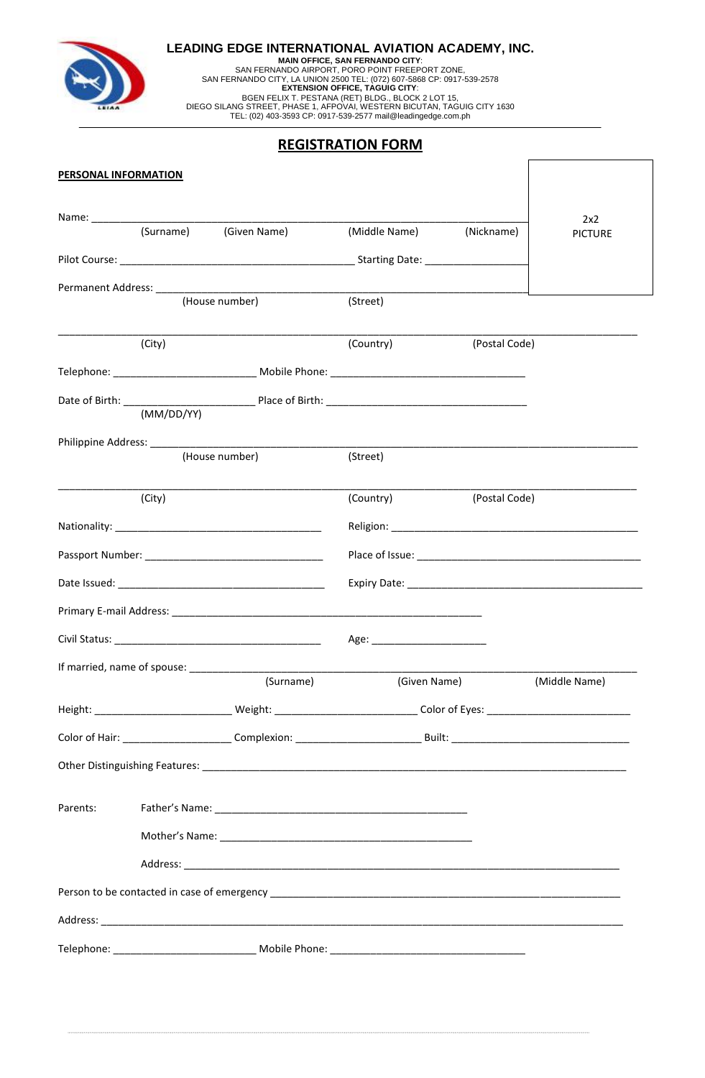

## **LEADING EDGE INTERNATIONAL AVIATION ACADEMY, INC.**

**MAIN OFFICE, SAN FERNANDO CITY**: SAN FERNANDO AIRPORT, PORO POINT FREEPORT ZONE, SAN FERNANDO CITY, LA UNION 2500 TEL: (072) 607-5868 CP: 0917-539-2578 **EXTENSION OFFICE, TAGUIG CITY**: BGEN FELIX T. PESTANA (RET) BLDG., BLOCK 2 LOT 15, DIEGO SILANG STREET, PHASE 1, AFPOVAI, WESTERN BICUTAN, TAGUIG CITY 1630 TEL: (02) 403-3593 CP: 0917-539-2577 mail@leadingedge.com.ph

## **REGISTRATION FORM**

| <b>PERSONAL INFORMATION</b> |            |                |                                      |               |                |
|-----------------------------|------------|----------------|--------------------------------------|---------------|----------------|
|                             |            |                |                                      |               | 2x2            |
|                             | (Surname)  | (Given Name)   | (Middle Name)                        | (Nickname)    | <b>PICTURE</b> |
|                             |            |                |                                      |               |                |
|                             |            |                |                                      |               |                |
|                             |            | (House number) | (Street)                             |               |                |
|                             | (City)     |                | (Country)                            | (Postal Code) |                |
|                             |            |                |                                      |               |                |
|                             | (MM/DD/YY) |                |                                      |               |                |
|                             |            |                |                                      |               |                |
|                             |            | (House number) | (Street)                             |               |                |
|                             | (City)     |                | (Country)                            | (Postal Code) |                |
|                             |            |                |                                      |               |                |
|                             |            |                |                                      |               |                |
|                             |            |                |                                      |               |                |
|                             |            |                |                                      |               |                |
|                             |            |                | Age: _________________________       |               |                |
|                             |            |                | (Surname) (Given Name) (Middle Name) |               |                |
|                             |            |                |                                      |               |                |
|                             |            |                |                                      |               |                |
|                             |            |                |                                      |               |                |
|                             |            |                |                                      |               |                |
| Parents:                    |            |                |                                      |               |                |
|                             |            |                |                                      |               |                |
|                             |            |                |                                      |               |                |
|                             |            |                |                                      |               |                |
|                             |            |                |                                      |               |                |
|                             |            |                |                                      |               |                |